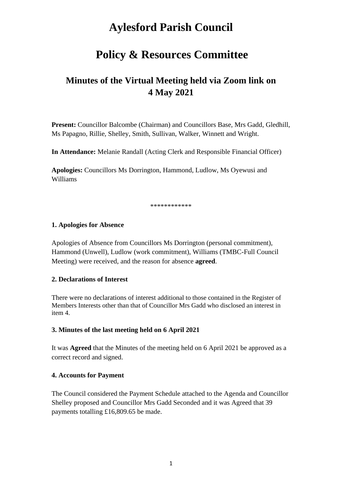# **Aylesford Parish Council**

## **Policy & Resources Committee**

## **Minutes of the Virtual Meeting held via Zoom link on 4 May 2021**

**Present:** Councillor Balcombe (Chairman) and Councillors Base, Mrs Gadd, Gledhill, Ms Papagno, Rillie, Shelley, Smith, Sullivan, Walker, Winnett and Wright.

**In Attendance:** Melanie Randall (Acting Clerk and Responsible Financial Officer)

**Apologies:** Councillors Ms Dorrington, Hammond, Ludlow, Ms Oyewusi and Williams

\*\*\*\*\*\*\*\*\*\*\*\*

#### **1. Apologies for Absence**

Apologies of Absence from Councillors Ms Dorrington (personal commitment), Hammond (Unwell), Ludlow (work commitment), Williams (TMBC-Full Council Meeting) were received, and the reason for absence **agreed**.

#### **2. Declarations of Interest**

There were no declarations of interest additional to those contained in the Register of Members Interests other than that of Councillor Mrs Gadd who disclosed an interest in item 4.

#### **3. Minutes of the last meeting held on 6 April 2021**

It was **Agreed** that the Minutes of the meeting held on 6 April 2021 be approved as a correct record and signed.

#### **4. Accounts for Payment**

The Council considered the Payment Schedule attached to the Agenda and Councillor Shelley proposed and Councillor Mrs Gadd Seconded and it was Agreed that 39 payments totalling £16,809.65 be made.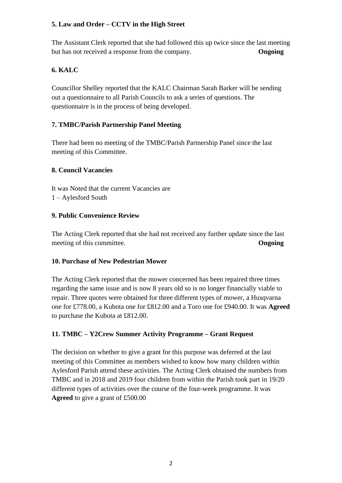### **5. Law and Order – CCTV in the High Street**

The Assistant Clerk reported that she had followed this up twice since the last meeting but has not received a response from the company. **Ongoing**

## **6. KALC**

Councillor Shelley reported that the KALC Chairman Sarah Barker will be sending out a questionnaire to all Parish Councils to ask a series of questions. The questionnaire is in the process of being developed.

## **7. TMBC/Parish Partnership Panel Meeting**

There had been no meeting of the TMBC/Parish Partnership Panel since the last meeting of this Committee.

#### **8. Council Vacancies**

It was Noted that the current Vacancies are 1 – Aylesford South

#### **9. Public Convenience Review**

The Acting Clerk reported that she had not received any further update since the last meeting of this committee. **Ongoing** 

#### **10. Purchase of New Pedestrian Mower**

The Acting Clerk reported that the mower concerned has been repaired three times regarding the same issue and is now 8 years old so is no longer financially viable to repair. Three quotes were obtained for three different types of mower, a Husqvarna one for £778.00, a Kubota one for £812.00 and a Toro one for £940.00. It was **Agreed** to purchase the Kubota at £812.00.

## **11. TMBC – Y2Crew Summer Activity Programme – Grant Request**

The decision on whether to give a grant for this purpose was deferred at the last meeting of this Committee as members wished to know how many children within Aylesford Parish attend these activities. The Acting Clerk obtained the numbers from TMBC and in 2018 and 2019 four children from within the Parish took part in 19/20 different types of activities over the course of the four-week programme. It was **Agreed** to give a grant of £500.00